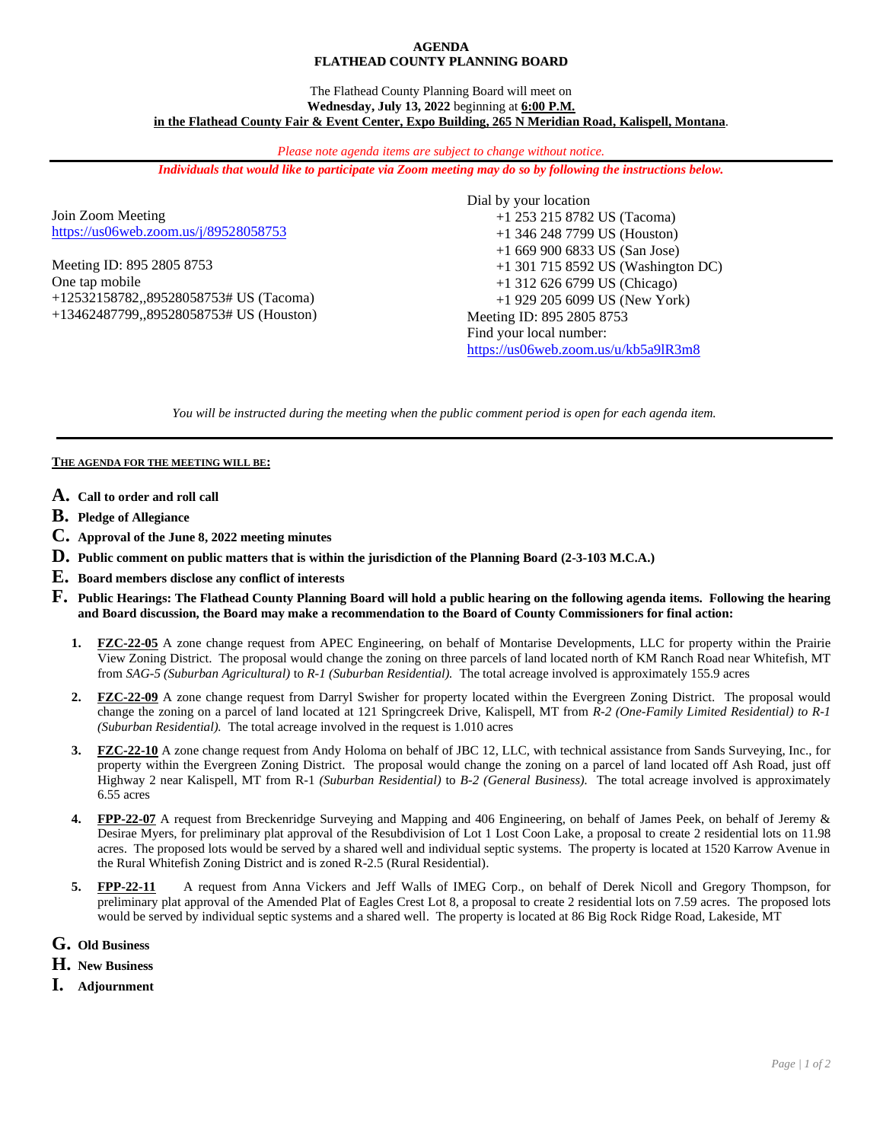## **AGENDA FLATHEAD COUNTY PLANNING BOARD**

## The Flathead County Planning Board will meet on **Wednesday, July 13, 2022** beginning at **6:00 P.M. in the Flathead County Fair & Event Center, Expo Building, 265 N Meridian Road, Kalispell, Montana**.

*Please note agenda items are subject to change without notice.*

*Individuals that would like to participate via Zoom meeting may do so by following the instructions below.*

Join Zoom Meeting <https://us06web.zoom.us/j/89528058753>

Meeting ID: 895 2805 8753 One tap mobile +12532158782,,89528058753# US (Tacoma) +13462487799,,89528058753# US (Houston)

Dial by your location +1 253 215 8782 US (Tacoma) +1 346 248 7799 US (Houston) +1 669 900 6833 US (San Jose) +1 301 715 8592 US (Washington DC) +1 312 626 6799 US (Chicago) +1 929 205 6099 US (New York) Meeting ID: 895 2805 8753 Find your local number: <https://us06web.zoom.us/u/kb5a9lR3m8>

*You will be instructed during the meeting when the public comment period is open for each agenda item.*

## **THE AGENDA FOR THE MEETING WILL BE:**

- **A. Call to order and roll call**
- **B. Pledge of Allegiance**
- **C. Approval of the June 8, 2022 meeting minutes**
- **D. Public comment on public matters that is within the jurisdiction of the Planning Board (2-3-103 M.C.A.)**
- **E. Board members disclose any conflict of interests**
- **F. Public Hearings: The Flathead County Planning Board will hold a public hearing on the following agenda items. Following the hearing and Board discussion, the Board may make a recommendation to the Board of County Commissioners for final action:** 
	- **1. FZC-22-05** A zone change request from APEC Engineering, on behalf of Montarise Developments, LLC for property within the Prairie View Zoning District. The proposal would change the zoning on three parcels of land located north of KM Ranch Road near Whitefish, MT from *SAG-5 (Suburban Agricultural)* to *R-1 (Suburban Residential).* The total acreage involved is approximately 155.9 acres
	- **2. FZC-22-09** A zone change request from Darryl Swisher for property located within the Evergreen Zoning District. The proposal would change the zoning on a parcel of land located at 121 Springcreek Drive, Kalispell, MT from *R-2 (One-Family Limited Residential) to R-1 (Suburban Residential).* The total acreage involved in the request is 1.010 acres
	- **3. FZC-22-10** A zone change request from Andy Holoma on behalf of JBC 12, LLC, with technical assistance from Sands Surveying, Inc., for property within the Evergreen Zoning District. The proposal would change the zoning on a parcel of land located off Ash Road, just off Highway 2 near Kalispell, MT from R-1 *(Suburban Residential)* to *B-2 (General Business).* The total acreage involved is approximately 6.55 acres
	- **4. FPP-22-07** A request from Breckenridge Surveying and Mapping and 406 Engineering, on behalf of James Peek, on behalf of Jeremy & Desirae Myers, for preliminary plat approval of the Resubdivision of Lot 1 Lost Coon Lake, a proposal to create 2 residential lots on 11.98 acres. The proposed lots would be served by a shared well and individual septic systems. The property is located at 1520 Karrow Avenue in the Rural Whitefish Zoning District and is zoned R-2.5 (Rural Residential).
	- **5. FPP-22-11** A request from Anna Vickers and Jeff Walls of IMEG Corp., on behalf of Derek Nicoll and Gregory Thompson, for preliminary plat approval of the Amended Plat of Eagles Crest Lot 8, a proposal to create 2 residential lots on 7.59 acres. The proposed lots would be served by individual septic systems and a shared well. The property is located at 86 Big Rock Ridge Road, Lakeside, MT

## **G. Old Business**

- **H. New Business**
- **I. Adjournment**